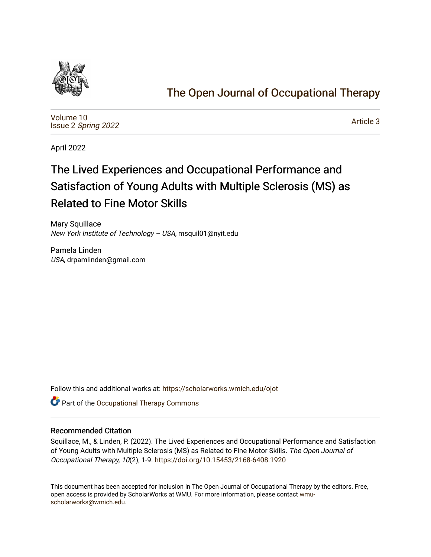

## [The Open Journal of Occupational Therapy](https://scholarworks.wmich.edu/ojot)

[Volume 10](https://scholarworks.wmich.edu/ojot/vol10) Issue 2 [Spring 2022](https://scholarworks.wmich.edu/ojot/vol10/iss2) 

[Article 3](https://scholarworks.wmich.edu/ojot/vol10/iss2/3) 

April 2022

# The Lived Experiences and Occupational Performance and Satisfaction of Young Adults with Multiple Sclerosis (MS) as Related to Fine Motor Skills

Mary Squillace New York Institute of Technology – USA, msquil01@nyit.edu

Pamela Linden USA, drpamlinden@gmail.com

Follow this and additional works at: [https://scholarworks.wmich.edu/ojot](https://scholarworks.wmich.edu/ojot?utm_source=scholarworks.wmich.edu%2Fojot%2Fvol10%2Fiss2%2F3&utm_medium=PDF&utm_campaign=PDFCoverPages)

**C** Part of the Occupational Therapy Commons

## Recommended Citation

Squillace, M., & Linden, P. (2022). The Lived Experiences and Occupational Performance and Satisfaction of Young Adults with Multiple Sclerosis (MS) as Related to Fine Motor Skills. The Open Journal of Occupational Therapy, 10(2), 1-9. <https://doi.org/10.15453/2168-6408.1920>

This document has been accepted for inclusion in The Open Journal of Occupational Therapy by the editors. Free, open access is provided by ScholarWorks at WMU. For more information, please contact [wmu](mailto:wmu-scholarworks@wmich.edu)[scholarworks@wmich.edu.](mailto:wmu-scholarworks@wmich.edu)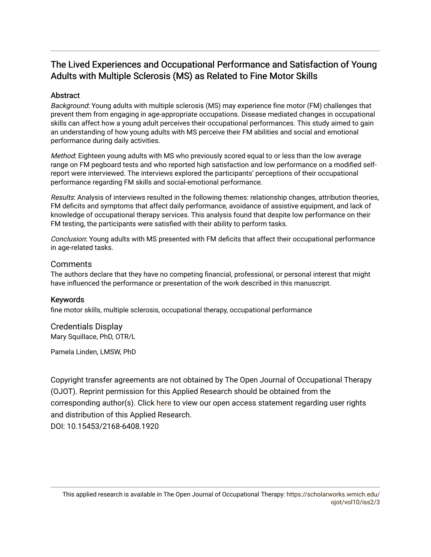## The Lived Experiences and Occupational Performance and Satisfaction of Young Adults with Multiple Sclerosis (MS) as Related to Fine Motor Skills

## **Abstract**

Background: Young adults with multiple sclerosis (MS) may experience fine motor (FM) challenges that prevent them from engaging in age-appropriate occupations. Disease mediated changes in occupational skills can affect how a young adult perceives their occupational performances. This study aimed to gain an understanding of how young adults with MS perceive their FM abilities and social and emotional performance during daily activities.

Method: Eighteen young adults with MS who previously scored equal to or less than the low average range on FM pegboard tests and who reported high satisfaction and low performance on a modified selfreport were interviewed. The interviews explored the participants' perceptions of their occupational performance regarding FM skills and social-emotional performance.

Results: Analysis of interviews resulted in the following themes: relationship changes, attribution theories, FM deficits and symptoms that affect daily performance, avoidance of assistive equipment, and lack of knowledge of occupational therapy services. This analysis found that despite low performance on their FM testing, the participants were satisfied with their ability to perform tasks.

Conclusion: Young adults with MS presented with FM deficits that affect their occupational performance in age-related tasks.

## **Comments**

The authors declare that they have no competing financial, professional, or personal interest that might have influenced the performance or presentation of the work described in this manuscript.

## Keywords

fine motor skills, multiple sclerosis, occupational therapy, occupational performance

Credentials Display Mary Squillace, PhD, OTR/L

Pamela Linden, LMSW, PhD

Copyright transfer agreements are not obtained by The Open Journal of Occupational Therapy (OJOT). Reprint permission for this Applied Research should be obtained from the corresponding author(s). Click [here](https://scholarworks.wmich.edu/ojot/policies.html#rights) to view our open access statement regarding user rights and distribution of this Applied Research. DOI: 10.15453/2168-6408.1920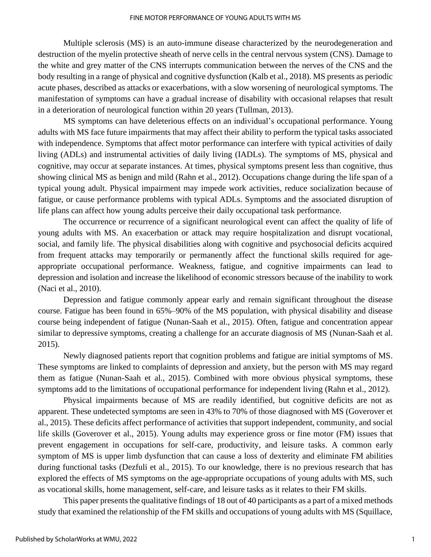Multiple sclerosis (MS) is an auto-immune disease characterized by the neurodegeneration and destruction of the myelin protective sheath of nerve cells in the central nervous system (CNS). Damage to the white and grey matter of the CNS interrupts communication between the nerves of the CNS and the body resulting in a range of physical and cognitive dysfunction (Kalb et al., 2018). MS presents as periodic acute phases, described as attacks or exacerbations, with a slow worsening of neurological symptoms. The manifestation of symptoms can have a gradual increase of disability with occasional relapses that result in a deterioration of neurological function within 20 years (Tullman, 2013).

MS symptoms can have deleterious effects on an individual's occupational performance. Young adults with MS face future impairments that may affect their ability to perform the typical tasks associated with independence. Symptoms that affect motor performance can interfere with typical activities of daily living (ADLs) and instrumental activities of daily living (IADLs). The symptoms of MS, physical and cognitive, may occur at separate instances. At times, physical symptoms present less than cognitive, thus showing clinical MS as benign and mild (Rahn et al., 2012). Occupations change during the life span of a typical young adult. Physical impairment may impede work activities, reduce socialization because of fatigue, or cause performance problems with typical ADLs. Symptoms and the associated disruption of life plans can affect how young adults perceive their daily occupational task performance.

The occurrence or recurrence of a significant neurological event can affect the quality of life of young adults with MS. An exacerbation or attack may require hospitalization and disrupt vocational, social, and family life. The physical disabilities along with cognitive and psychosocial deficits acquired from frequent attacks may temporarily or permanently affect the functional skills required for ageappropriate occupational performance. Weakness, fatigue, and cognitive impairments can lead to depression and isolation and increase the likelihood of economic stressors because of the inability to work (Naci et al., 2010).

Depression and fatigue commonly appear early and remain significant throughout the disease course. Fatigue has been found in 65%–90% of the MS population, with physical disability and disease course being independent of fatigue (Nunan-Saah et al., 2015). Often, fatigue and concentration appear similar to depressive symptoms, creating a challenge for an accurate diagnosis of MS (Nunan-Saah et al. 2015).

Newly diagnosed patients report that cognition problems and fatigue are initial symptoms of MS. These symptoms are linked to complaints of depression and anxiety, but the person with MS may regard them as fatigue (Nunan-Saah et al., 2015). Combined with more obvious physical symptoms, these symptoms add to the limitations of occupational performance for independent living (Rahn et al., 2012).

Physical impairments because of MS are readily identified, but cognitive deficits are not as apparent. These undetected symptoms are seen in 43% to 70% of those diagnosed with MS (Goverover et al., 2015). These deficits affect performance of activities that support independent, community, and social life skills (Goverover et al., 2015). Young adults may experience gross or fine motor (FM) issues that prevent engagement in occupations for self-care, productivity, and leisure tasks. A common early symptom of MS is upper limb dysfunction that can cause a loss of dexterity and eliminate FM abilities during functional tasks (Dezfuli et al., 2015). To our knowledge, there is no previous research that has explored the effects of MS symptoms on the age-appropriate occupations of young adults with MS, such as vocational skills, home management, self-care, and leisure tasks as it relates to their FM skills.

This paper presents the qualitative findings of 18 out of 40 participants as a part of a mixed methods study that examined the relationship of the FM skills and occupations of young adults with MS (Squillace,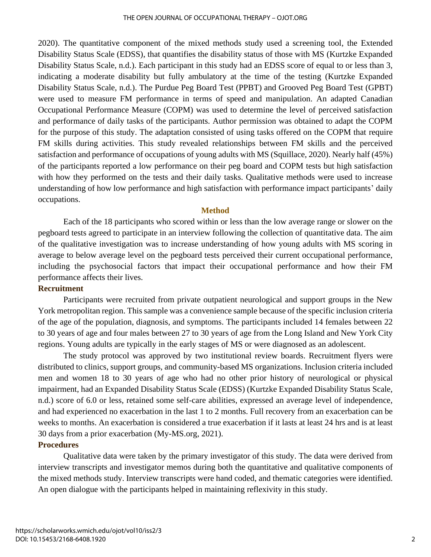2020). The quantitative component of the mixed methods study used a screening tool, the Extended Disability Status Scale (EDSS), that quantifies the disability status of those with MS (Kurtzke Expanded Disability Status Scale, n.d.). Each participant in this study had an EDSS score of equal to or less than 3, indicating a moderate disability but fully ambulatory at the time of the testing (Kurtzke Expanded Disability Status Scale, n.d.). The Purdue Peg Board Test (PPBT) and Grooved Peg Board Test (GPBT) were used to measure FM performance in terms of speed and manipulation. An adapted Canadian Occupational Performance Measure (COPM) was used to determine the level of perceived satisfaction and performance of daily tasks of the participants. Author permission was obtained to adapt the COPM for the purpose of this study. The adaptation consisted of using tasks offered on the COPM that require FM skills during activities. This study revealed relationships between FM skills and the perceived satisfaction and performance of occupations of young adults with MS (Squillace, 2020). Nearly half (45%) of the participants reported a low performance on their peg board and COPM tests but high satisfaction with how they performed on the tests and their daily tasks. Qualitative methods were used to increase understanding of how low performance and high satisfaction with performance impact participants' daily occupations.

## **Method**

Each of the 18 participants who scored within or less than the low average range or slower on the pegboard tests agreed to participate in an interview following the collection of quantitative data. The aim of the qualitative investigation was to increase understanding of how young adults with MS scoring in average to below average level on the pegboard tests perceived their current occupational performance, including the psychosocial factors that impact their occupational performance and how their FM performance affects their lives.

## **Recruitment**

Participants were recruited from private outpatient neurological and support groups in the New York metropolitan region. This sample was a convenience sample because of the specific inclusion criteria of the age of the population, diagnosis, and symptoms. The participants included 14 females between 22 to 30 years of age and four males between 27 to 30 years of age from the Long Island and New York City regions. Young adults are typically in the early stages of MS or were diagnosed as an adolescent.

The study protocol was approved by two institutional review boards. Recruitment flyers were distributed to clinics, support groups, and community-based MS organizations. Inclusion criteria included men and women 18 to 30 years of age who had no other prior history of neurological or physical impairment, had an Expanded Disability Status Scale (EDSS) (Kurtzke Expanded Disability Status Scale, n.d.) score of 6.0 or less, retained some self-care abilities, expressed an average level of independence, and had experienced no exacerbation in the last 1 to 2 months. Full recovery from an exacerbation can be weeks to months. An exacerbation is considered a true exacerbation if it lasts at least 24 hrs and is at least 30 days from a prior exacerbation (My-MS.org, 2021).

## **Procedures**

Qualitative data were taken by the primary investigator of this study. The data were derived from interview transcripts and investigator memos during both the quantitative and qualitative components of the mixed methods study. Interview transcripts were hand coded, and thematic categories were identified. An open dialogue with the participants helped in maintaining reflexivity in this study.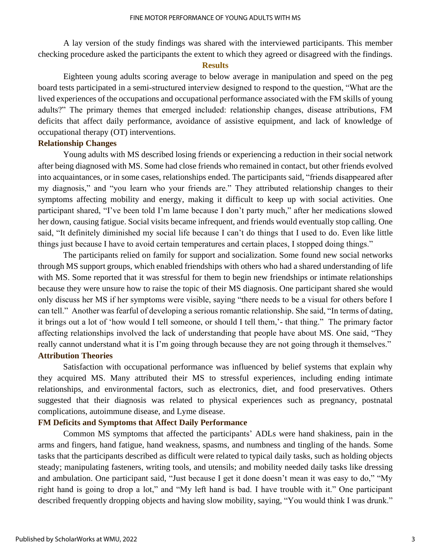A lay version of the study findings was shared with the interviewed participants. This member checking procedure asked the participants the extent to which they agreed or disagreed with the findings.

### **Results**

Eighteen young adults scoring average to below average in manipulation and speed on the peg board tests participated in a semi-structured interview designed to respond to the question, "What are the lived experiences of the occupations and occupational performance associated with the FM skills of young adults?" The primary themes that emerged included: relationship changes, disease attributions, FM deficits that affect daily performance, avoidance of assistive equipment, and lack of knowledge of occupational therapy (OT) interventions.

## **Relationship Changes**

Young adults with MS described losing friends or experiencing a reduction in their social network after being diagnosed with MS. Some had close friends who remained in contact, but other friends evolved into acquaintances, or in some cases, relationships ended. The participants said, "friends disappeared after my diagnosis," and "you learn who your friends are." They attributed relationship changes to their symptoms affecting mobility and energy, making it difficult to keep up with social activities. One participant shared, "I've been told I'm lame because I don't party much," after her medications slowed her down, causing fatigue. Social visits became infrequent, and friends would eventually stop calling. One said, "It definitely diminished my social life because I can't do things that I used to do. Even like little things just because I have to avoid certain temperatures and certain places, I stopped doing things."

The participants relied on family for support and socialization. Some found new social networks through MS support groups, which enabled friendships with others who had a shared understanding of life with MS. Some reported that it was stressful for them to begin new friendships or intimate relationships because they were unsure how to raise the topic of their MS diagnosis. One participant shared she would only discuss her MS if her symptoms were visible, saying "there needs to be a visual for others before I can tell." Another was fearful of developing a serious romantic relationship. She said, "In terms of dating, it brings out a lot of 'how would I tell someone, or should I tell them,'- that thing." The primary factor affecting relationships involved the lack of understanding that people have about MS. One said, "They really cannot understand what it is I'm going through because they are not going through it themselves." **Attribution Theories**

Satisfaction with occupational performance was influenced by belief systems that explain why they acquired MS. Many attributed their MS to stressful experiences, including ending intimate relationships, and environmental factors, such as electronics, diet, and food preservatives. Others suggested that their diagnosis was related to physical experiences such as pregnancy, postnatal complications, autoimmune disease, and Lyme disease.

## **FM Deficits and Symptoms that Affect Daily Performance**

Common MS symptoms that affected the participants' ADLs were hand shakiness, pain in the arms and fingers, hand fatigue, hand weakness, spasms, and numbness and tingling of the hands. Some tasks that the participants described as difficult were related to typical daily tasks, such as holding objects steady; manipulating fasteners, writing tools, and utensils; and mobility needed daily tasks like dressing and ambulation. One participant said, "Just because I get it done doesn't mean it was easy to do," "My right hand is going to drop a lot," and "My left hand is bad. I have trouble with it." One participant described frequently dropping objects and having slow mobility, saying, "You would think I was drunk."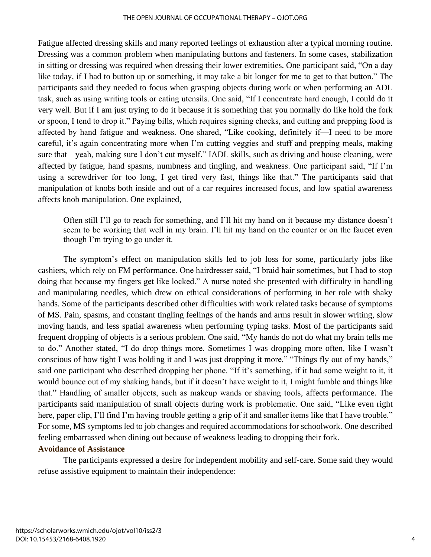#### THE OPEN JOURNAL OF OCCUPATIONAL THERAPY – OJOT.ORG

Fatigue affected dressing skills and many reported feelings of exhaustion after a typical morning routine. Dressing was a common problem when manipulating buttons and fasteners. In some cases, stabilization in sitting or dressing was required when dressing their lower extremities. One participant said, "On a day like today, if I had to button up or something, it may take a bit longer for me to get to that button." The participants said they needed to focus when grasping objects during work or when performing an ADL task, such as using writing tools or eating utensils. One said, "If I concentrate hard enough, I could do it very well. But if I am just trying to do it because it is something that you normally do like hold the fork or spoon, I tend to drop it." Paying bills, which requires signing checks, and cutting and prepping food is affected by hand fatigue and weakness. One shared, "Like cooking, definitely if—I need to be more careful, it's again concentrating more when I'm cutting veggies and stuff and prepping meals, making sure that—yeah, making sure I don't cut myself." IADL skills, such as driving and house cleaning, were affected by fatigue, hand spasms, numbness and tingling, and weakness. One participant said, "If I'm using a screwdriver for too long, I get tired very fast, things like that." The participants said that manipulation of knobs both inside and out of a car requires increased focus, and low spatial awareness affects knob manipulation. One explained,

Often still I'll go to reach for something, and I'll hit my hand on it because my distance doesn't seem to be working that well in my brain. I'll hit my hand on the counter or on the faucet even though I'm trying to go under it.

The symptom's effect on manipulation skills led to job loss for some, particularly jobs like cashiers, which rely on FM performance. One hairdresser said, "I braid hair sometimes, but I had to stop doing that because my fingers get like locked." A nurse noted she presented with difficulty in handling and manipulating needles, which drew on ethical considerations of performing in her role with shaky hands. Some of the participants described other difficulties with work related tasks because of symptoms of MS. Pain, spasms, and constant tingling feelings of the hands and arms result in slower writing, slow moving hands, and less spatial awareness when performing typing tasks. Most of the participants said frequent dropping of objects is a serious problem. One said, "My hands do not do what my brain tells me to do." Another stated, "I do drop things more. Sometimes I was dropping more often, like I wasn't conscious of how tight I was holding it and I was just dropping it more." "Things fly out of my hands," said one participant who described dropping her phone. "If it's something, if it had some weight to it, it would bounce out of my shaking hands, but if it doesn't have weight to it, I might fumble and things like that." Handling of smaller objects, such as makeup wands or shaving tools, affects performance. The participants said manipulation of small objects during work is problematic. One said, "Like even right here, paper clip, I'll find I'm having trouble getting a grip of it and smaller items like that I have trouble." For some, MS symptoms led to job changes and required accommodations for schoolwork. One described feeling embarrassed when dining out because of weakness leading to dropping their fork.

## **Avoidance of Assistance**

The participants expressed a desire for independent mobility and self-care. Some said they would refuse assistive equipment to maintain their independence: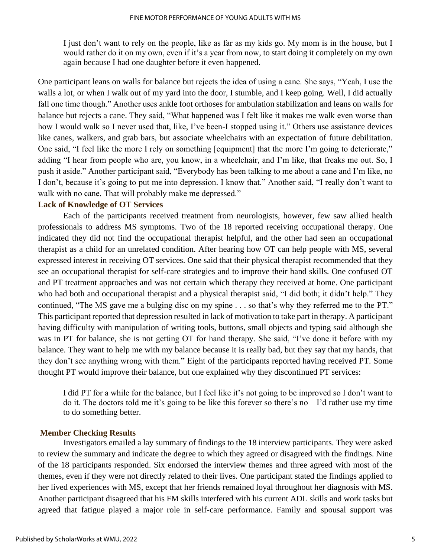I just don't want to rely on the people, like as far as my kids go. My mom is in the house, but I would rather do it on my own, even if it's a year from now, to start doing it completely on my own again because I had one daughter before it even happened.

One participant leans on walls for balance but rejects the idea of using a cane. She says, "Yeah, I use the walls a lot, or when I walk out of my yard into the door, I stumble, and I keep going. Well, I did actually fall one time though." Another uses ankle foot orthoses for ambulation stabilization and leans on walls for balance but rejects a cane. They said, "What happened was I felt like it makes me walk even worse than how I would walk so I never used that, like, I've been-I stopped using it." Others use assistance devices like canes, walkers, and grab bars, but associate wheelchairs with an expectation of future debilitation. One said, "I feel like the more I rely on something [equipment] that the more I'm going to deteriorate," adding "I hear from people who are, you know, in a wheelchair, and I'm like, that freaks me out. So, I push it aside." Another participant said, "Everybody has been talking to me about a cane and I'm like, no I don't, because it's going to put me into depression. I know that." Another said, "I really don't want to walk with no cane. That will probably make me depressed."

## **Lack of Knowledge of OT Services**

Each of the participants received treatment from neurologists, however, few saw allied health professionals to address MS symptoms. Two of the 18 reported receiving occupational therapy. One indicated they did not find the occupational therapist helpful, and the other had seen an occupational therapist as a child for an unrelated condition. After hearing how OT can help people with MS, several expressed interest in receiving OT services. One said that their physical therapist recommended that they see an occupational therapist for self-care strategies and to improve their hand skills. One confused OT and PT treatment approaches and was not certain which therapy they received at home. One participant who had both and occupational therapist and a physical therapist said, "I did both; it didn't help." They continued, "The MS gave me a bulging disc on my spine . . . so that's why they referred me to the PT." This participant reported that depression resulted in lack of motivation to take part in therapy. A participant having difficulty with manipulation of writing tools, buttons, small objects and typing said although she was in PT for balance, she is not getting OT for hand therapy. She said, "I've done it before with my balance. They want to help me with my balance because it is really bad, but they say that my hands, that they don't see anything wrong with them." Eight of the participants reported having received PT. Some thought PT would improve their balance, but one explained why they discontinued PT services:

I did PT for a while for the balance, but I feel like it's not going to be improved so I don't want to do it. The doctors told me it's going to be like this forever so there's no—I'd rather use my time to do something better.

## **Member Checking Results**

Investigators emailed a lay summary of findings to the 18 interview participants. They were asked to review the summary and indicate the degree to which they agreed or disagreed with the findings. Nine of the 18 participants responded. Six endorsed the interview themes and three agreed with most of the themes, even if they were not directly related to their lives. One participant stated the findings applied to her lived experiences with MS, except that her friends remained loyal throughout her diagnosis with MS. Another participant disagreed that his FM skills interfered with his current ADL skills and work tasks but agreed that fatigue played a major role in self-care performance. Family and spousal support was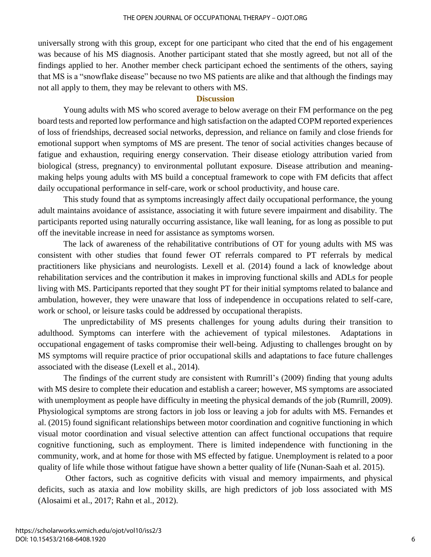universally strong with this group, except for one participant who cited that the end of his engagement was because of his MS diagnosis. Another participant stated that she mostly agreed, but not all of the findings applied to her. Another member check participant echoed the sentiments of the others, saying that MS is a "snowflake disease" because no two MS patients are alike and that although the findings may not all apply to them, they may be relevant to others with MS.

## **Discussion**

Young adults with MS who scored average to below average on their FM performance on the peg board tests and reported low performance and high satisfaction on the adapted COPM reported experiences of loss of friendships, decreased social networks, depression, and reliance on family and close friends for emotional support when symptoms of MS are present. The tenor of social activities changes because of fatigue and exhaustion, requiring energy conservation. Their disease etiology attribution varied from biological (stress, pregnancy) to environmental pollutant exposure. Disease attribution and meaningmaking helps young adults with MS build a conceptual framework to cope with FM deficits that affect daily occupational performance in self-care, work or school productivity, and house care.

This study found that as symptoms increasingly affect daily occupational performance, the young adult maintains avoidance of assistance, associating it with future severe impairment and disability. The participants reported using naturally occurring assistance, like wall leaning, for as long as possible to put off the inevitable increase in need for assistance as symptoms worsen.

The lack of awareness of the rehabilitative contributions of OT for young adults with MS was consistent with other studies that found fewer OT referrals compared to PT referrals by medical practitioners like physicians and neurologists. Lexell et al. (2014) found a lack of knowledge about rehabilitation services and the contribution it makes in improving functional skills and ADLs for people living with MS. Participants reported that they sought PT for their initial symptoms related to balance and ambulation, however, they were unaware that loss of independence in occupations related to self-care, work or school, or leisure tasks could be addressed by occupational therapists.

The unpredictability of MS presents challenges for young adults during their transition to adulthood. Symptoms can interfere with the achievement of typical milestones. Adaptations in occupational engagement of tasks compromise their well-being. Adjusting to challenges brought on by MS symptoms will require practice of prior occupational skills and adaptations to face future challenges associated with the disease (Lexell et al., 2014).

The findings of the current study are consistent with Rumrill's (2009) finding that young adults with MS desire to complete their education and establish a career; however, MS symptoms are associated with unemployment as people have difficulty in meeting the physical demands of the job (Rumrill, 2009). Physiological symptoms are strong factors in job loss or leaving a job for adults with MS. Fernandes et al. (2015) found significant relationships between motor coordination and cognitive functioning in which visual motor coordination and visual selective attention can affect functional occupations that require cognitive functioning, such as employment. There is limited independence with functioning in the community, work, and at home for those with MS effected by fatigue. Unemployment is related to a poor quality of life while those without fatigue have shown a better quality of life (Nunan-Saah et al. 2015).

Other factors, such as cognitive deficits with visual and memory impairments, and physical deficits, such as ataxia and low mobility skills, are high predictors of job loss associated with MS (Alosaimi et al., 2017; Rahn et al., 2012).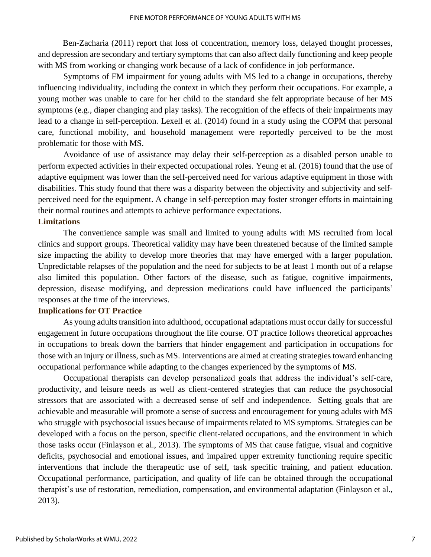Ben-Zacharia (2011) report that loss of concentration, memory loss, delayed thought processes, and depression are secondary and tertiary symptoms that can also affect daily functioning and keep people with MS from working or changing work because of a lack of confidence in job performance.

Symptoms of FM impairment for young adults with MS led to a change in occupations, thereby influencing individuality, including the context in which they perform their occupations. For example, a young mother was unable to care for her child to the standard she felt appropriate because of her MS symptoms (e.g., diaper changing and play tasks). The recognition of the effects of their impairments may lead to a change in self-perception. Lexell et al. (2014) found in a study using the COPM that personal care, functional mobility, and household management were reportedly perceived to be the most problematic for those with MS.

Avoidance of use of assistance may delay their self-perception as a disabled person unable to perform expected activities in their expected occupational roles. Yeung et al. (2016) found that the use of adaptive equipment was lower than the self-perceived need for various adaptive equipment in those with disabilities. This study found that there was a disparity between the objectivity and subjectivity and selfperceived need for the equipment. A change in self-perception may foster stronger efforts in maintaining their normal routines and attempts to achieve performance expectations.

## **Limitations**

The convenience sample was small and limited to young adults with MS recruited from local clinics and support groups. Theoretical validity may have been threatened because of the limited sample size impacting the ability to develop more theories that may have emerged with a larger population. Unpredictable relapses of the population and the need for subjects to be at least 1 month out of a relapse also limited this population. Other factors of the disease, such as fatigue, cognitive impairments, depression, disease modifying, and depression medications could have influenced the participants' responses at the time of the interviews.

## **Implications for OT Practice**

As young adults transition into adulthood, occupational adaptations must occur daily for successful engagement in future occupations throughout the life course. OT practice follows theoretical approaches in occupations to break down the barriers that hinder engagement and participation in occupations for those with an injury or illness, such as MS. Interventions are aimed at creating strategies toward enhancing occupational performance while adapting to the changes experienced by the symptoms of MS.

Occupational therapists can develop personalized goals that address the individual's self-care, productivity, and leisure needs as well as client-centered strategies that can reduce the psychosocial stressors that are associated with a decreased sense of self and independence. Setting goals that are achievable and measurable will promote a sense of success and encouragement for young adults with MS who struggle with psychosocial issues because of impairments related to MS symptoms. Strategies can be developed with a focus on the person, specific client-related occupations, and the environment in which those tasks occur (Finlayson et al., 2013). The symptoms of MS that cause fatigue, visual and cognitive deficits, psychosocial and emotional issues, and impaired upper extremity functioning require specific interventions that include the therapeutic use of self, task specific training, and patient education. Occupational performance, participation, and quality of life can be obtained through the occupational therapist's use of restoration, remediation, compensation, and environmental adaptation (Finlayson et al., 2013).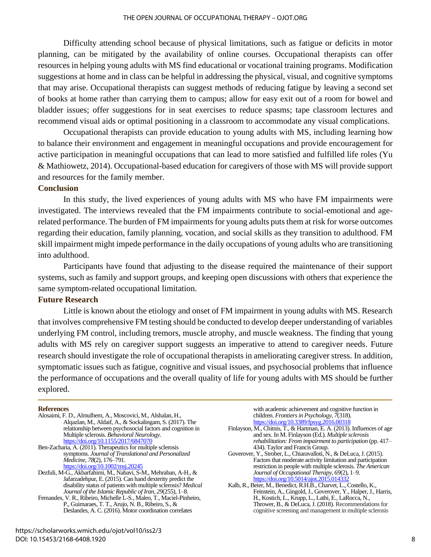Difficulty attending school because of physical limitations, such as fatigue or deficits in motor planning, can be mitigated by the availability of online courses. Occupational therapists can offer resources in helping young adults with MS find educational or vocational training programs. Modification suggestions at home and in class can be helpful in addressing the physical, visual, and cognitive symptoms that may arise. Occupational therapists can suggest methods of reducing fatigue by leaving a second set of books at home rather than carrying them to campus; allow for easy exit out of a room for bowel and bladder issues; offer suggestions for in seat exercises to reduce spasms; tape classroom lectures and recommend visual aids or optimal positioning in a classroom to accommodate any visual complications.

Occupational therapists can provide education to young adults with MS, including learning how to balance their environment and engagement in meaningful occupations and provide encouragement for active participation in meaningful occupations that can lead to more satisfied and fulfilled life roles (Yu & Mathiowetz, 2014). Occupational-based education for caregivers of those with MS will provide support and resources for the family member.

## **Conclusion**

In this study, the lived experiences of young adults with MS who have FM impairments were investigated. The interviews revealed that the FM impairments contribute to social-emotional and agerelated performance. The burden of FM impairments for young adults puts them at risk for worse outcomes regarding their education, family planning, vocation, and social skills as they transition to adulthood. FM skill impairment might impede performance in the daily occupations of young adults who are transitioning into adulthood.

Participants have found that adjusting to the disease required the maintenance of their support systems, such as family and support groups, and keeping open discussions with others that experience the same symptom-related occupational limitation.

## **Future Research**

Little is known about the etiology and onset of FM impairment in young adults with MS. Research that involves comprehensive FM testing should be conducted to develop deeper understanding of variables underlying FM control, including tremors, muscle atrophy, and muscle weakness. The finding that young adults with MS rely on caregiver support suggests an imperative to attend to caregiver needs. Future research should investigate the role of occupational therapists in ameliorating caregiver stress. In addition, symptomatic issues such as fatigue, cognitive and visual issues, and psychosocial problems that influence the performance of occupations and the overall quality of life for young adults with MS should be further explored.

#### **References**

| Alosaimi, F. D., Almulhem, A., Moscovici, M., Alshalan, H.,           |
|-----------------------------------------------------------------------|
| Alqazlan, M., Aldaif, A., & Sockalingam, S. (2017). The               |
| relationship between psychosocial factors and cognition in            |
| Multiple sclerosis. Behavioral Neurology.                             |
| https://doi.org/10.1155/2017/6847070                                  |
| Ben-Zacharia, A. (2011). Therapeutics for multiple sclerosis          |
| symptoms. Journal of Translational and Personalized                   |
| <i>Medicine, 78(2), 176–791.</i>                                      |
| https://doi.org/10.1002/msj.20245                                     |
| Dezfuli, M-G., Akbarfahimi, M., Nabavi, S-M., Mehraban, A-H., &       |
| Jafarzadehpur, E. (2015). Can hand dexterity predict the              |
| disability status of patients with multiple sclerosis? Medical        |
| Journal of the Islamic Republic of Iran, 29(255), 1–8.                |
| Fernandes, V. R., Ribeiro, Michelle L-S., Maleo, T., Maciel-Pinheiro, |
| P., Guimaraes, T. T., Arujo, N. B., Ribeiro, S., &                    |
| Deslandes, A. C. (2016). Motor coordination correlates                |

#### with academic achievement and cognitive function in children. *Frontiers in Psychology*, *7*(318). <https://doi.org/10.3389/fpsyg.2016.00318>

- Finlayson, M., Chitnis, T., & Hartman, E. A. (2013). Influences of age and sex. In M. Finlayson (Ed.). *Multiple sclerosis rehabilitation: From impairment to participation* (pp. 417– 434). Taylor and Francis Group.
- Goverover, Y., Strober, L., Chiaravalloti, N., & DeLuca, J. (2015). Factors that moderate activity limitation and participation restriction in people with multiple sclerosis. *The American Journal of Occupational Therapy*, *69*(2), 1–9. <https://doi.org/10.5014/ajot.2015.014332>
- Kalb, R., Beier, M., Benedict, R.H.B., Charvet, L., Costello, K., Feinstein, A., Gingold, J., Goverover, Y., Halper, J., Harris, H., Kostich, L., Krupp, L., Lathi, E., LaRocca, N., Thrower, B., & DeLuca, J. (2018). Recommendations for cognitive screening and management in multiple sclerosis